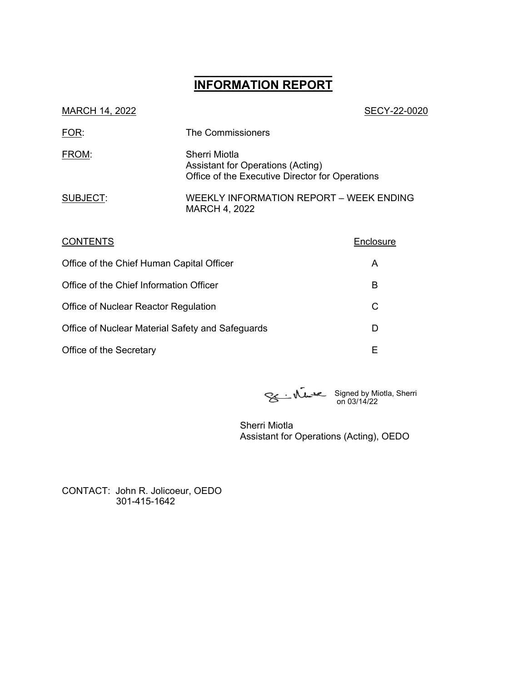# **\_\_\_\_\_\_\_\_\_\_\_\_\_\_\_\_\_\_ INFORMATION REPORT**

| SECY-22-0020                                                                                          |
|-------------------------------------------------------------------------------------------------------|
| The Commissioners                                                                                     |
| Sherri Miotla<br>Assistant for Operations (Acting)<br>Office of the Executive Director for Operations |
| WEEKLY INFORMATION REPORT - WEEK ENDING<br><b>MARCH 4, 2022</b>                                       |
|                                                                                                       |

| <b>CONTENTS</b>                                  | Enclosure |
|--------------------------------------------------|-----------|
| Office of the Chief Human Capital Officer        | A         |
| Office of the Chief Information Officer          | в         |
| Office of Nuclear Reactor Regulation             | С         |
| Office of Nuclear Material Safety and Safeguards | D         |
| Office of the Secretary                          | F         |

Signed by Miotla, Sherri on 03/14/22

Sherri Miotla Assistant for Operations (Acting), OEDO

CONTACT: John R. Jolicoeur, OEDO 301-415-1642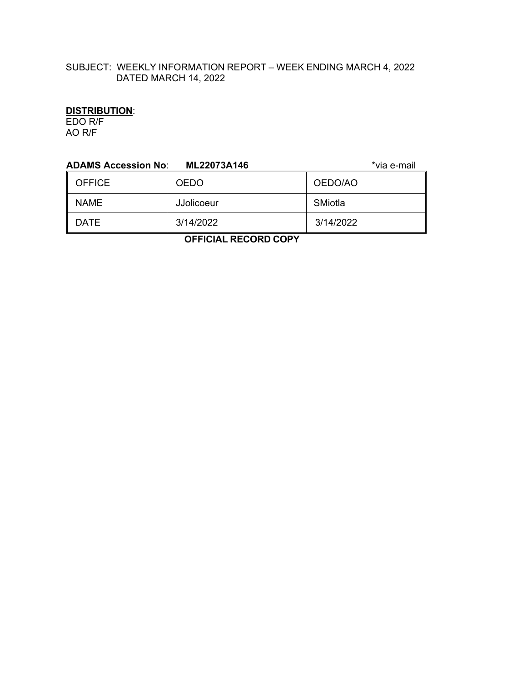# SUBJECT: WEEKLY INFORMATION REPORT – WEEK ENDING MARCH 4, 2022 DATED MARCH 14, 2022

# **DISTRIBUTION**:

EDO R/F AO R/F

| <b>ADAMS Accession No:</b><br>*via e-mail<br>ML22073A146 |             |           |  |  |
|----------------------------------------------------------|-------------|-----------|--|--|
| <b>OFFICE</b>                                            | <b>OEDO</b> | OEDO/AO   |  |  |
| <b>NAME</b>                                              | JJolicoeur  | SMiotla   |  |  |
| <b>DATE</b>                                              | 3/14/2022   | 3/14/2022 |  |  |
| .                                                        |             |           |  |  |

 **OFFICIAL RECORD COPY**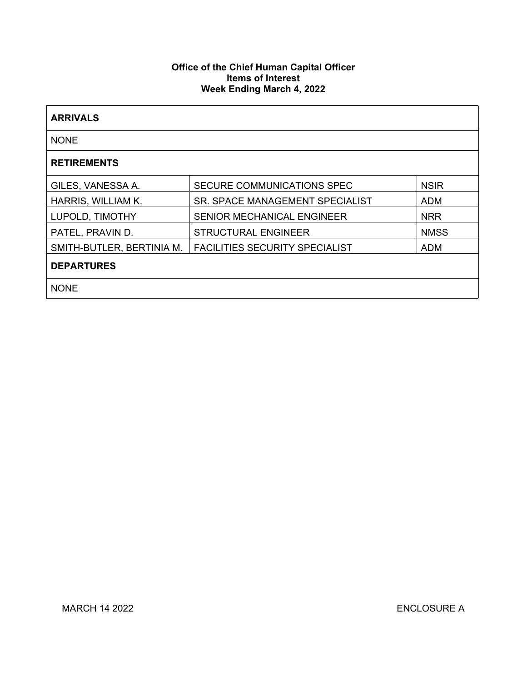## **Office of the Chief Human Capital Officer Items of Interest Week Ending March 4, 2022**

| <b>ARRIVALS</b>           |                                        |             |  |  |
|---------------------------|----------------------------------------|-------------|--|--|
| <b>NONE</b>               |                                        |             |  |  |
| <b>RETIREMENTS</b>        |                                        |             |  |  |
| GILES, VANESSA A.         | SECURE COMMUNICATIONS SPEC             | <b>NSIR</b> |  |  |
| HARRIS, WILLIAM K.        | <b>SR. SPACE MANAGEMENT SPECIALIST</b> | <b>ADM</b>  |  |  |
| LUPOLD, TIMOTHY           | <b>SENIOR MECHANICAL ENGINEER</b>      | <b>NRR</b>  |  |  |
| PATEL, PRAVIN D.          | <b>STRUCTURAL ENGINEER</b>             | <b>NMSS</b> |  |  |
| SMITH-BUTLER, BERTINIA M. | <b>FACILITIES SECURITY SPECIALIST</b>  | <b>ADM</b>  |  |  |
| <b>DEPARTURES</b>         |                                        |             |  |  |
| <b>NONE</b>               |                                        |             |  |  |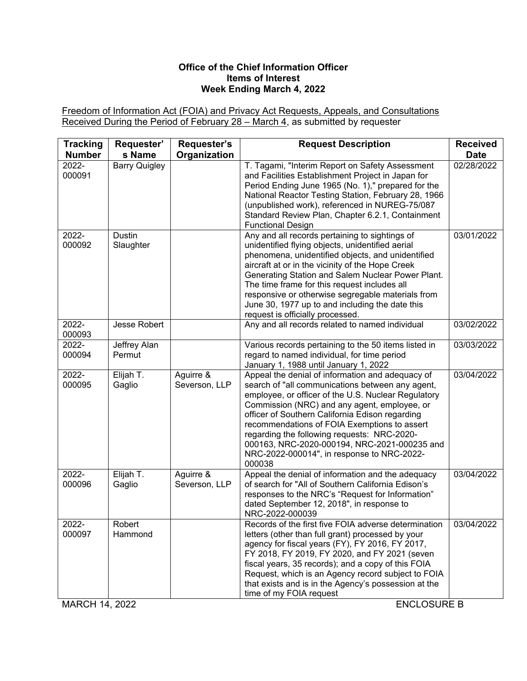## **Office of the Chief Information Officer Items of Interest Week Ending March 4, 2022**

Freedom of Information Act (FOIA) and Privacy Act Requests, Appeals, and Consultations Received During the Period of February 28 – March 4, as submitted by requester

| <b>Tracking</b> | Requester'                 | Requester's                | <b>Request Description</b>                                                                                                                                                                                                                                                                                                                                                                                                                                            | <b>Received</b> |
|-----------------|----------------------------|----------------------------|-----------------------------------------------------------------------------------------------------------------------------------------------------------------------------------------------------------------------------------------------------------------------------------------------------------------------------------------------------------------------------------------------------------------------------------------------------------------------|-----------------|
| <b>Number</b>   | s Name                     | Organization               |                                                                                                                                                                                                                                                                                                                                                                                                                                                                       | <b>Date</b>     |
| 2022-<br>000091 | <b>Barry Quigley</b>       |                            | T. Tagami, "Interim Report on Safety Assessment<br>and Facilities Establishment Project in Japan for<br>Period Ending June 1965 (No. 1)," prepared for the<br>National Reactor Testing Station, February 28, 1966<br>(unpublished work), referenced in NUREG-75/087<br>Standard Review Plan, Chapter 6.2.1, Containment<br><b>Functional Design</b>                                                                                                                   | 02/28/2022      |
| 2022-<br>000092 | <b>Dustin</b><br>Slaughter |                            | Any and all records pertaining to sightings of<br>unidentified flying objects, unidentified aerial<br>phenomena, unidentified objects, and unidentified<br>aircraft at or in the vicinity of the Hope Creek<br>Generating Station and Salem Nuclear Power Plant.<br>The time frame for this request includes all<br>responsive or otherwise segregable materials from<br>June 30, 1977 up to and including the date this<br>request is officially processed.          | 03/01/2022      |
| 2022-<br>000093 | Jesse Robert               |                            | Any and all records related to named individual                                                                                                                                                                                                                                                                                                                                                                                                                       | 03/02/2022      |
| 2022-           | Jeffrey Alan               |                            | Various records pertaining to the 50 items listed in                                                                                                                                                                                                                                                                                                                                                                                                                  | 03/03/2022      |
| 000094          | Permut                     |                            | regard to named individual, for time period<br>January 1, 1988 until January 1, 2022                                                                                                                                                                                                                                                                                                                                                                                  |                 |
| 2022-<br>000095 | Elijah T.<br>Gaglio        | Aguirre &<br>Severson, LLP | Appeal the denial of information and adequacy of<br>search of "all communications between any agent,<br>employee, or officer of the U.S. Nuclear Regulatory<br>Commission (NRC) and any agent, employee, or<br>officer of Southern California Edison regarding<br>recommendations of FOIA Exemptions to assert<br>regarding the following requests: NRC-2020-<br>000163, NRC-2020-000194, NRC-2021-000235 and<br>NRC-2022-000014", in response to NRC-2022-<br>000038 | 03/04/2022      |
| 2022-<br>000096 | Elijah T.<br>Gaglio        | Aguirre &<br>Severson, LLP | Appeal the denial of information and the adequacy<br>of search for "All of Southern California Edison's<br>responses to the NRC's "Request for Information"<br>dated September 12, 2018", in response to<br>NRC-2022-000039                                                                                                                                                                                                                                           | 03/04/2022      |
| 2022-<br>000097 | Robert<br>Hammond          |                            | Records of the first five FOIA adverse determination<br>letters (other than full grant) processed by your<br>agency for fiscal years (FY), FY 2016, FY 2017,<br>FY 2018, FY 2019, FY 2020, and FY 2021 (seven<br>fiscal years, 35 records); and a copy of this FOIA<br>Request, which is an Agency record subject to FOIA<br>that exists and is in the Agency's possession at the<br>time of my FOIA request                                                          | 03/04/2022      |

MARCH 14, 2022 ENCLOSURE B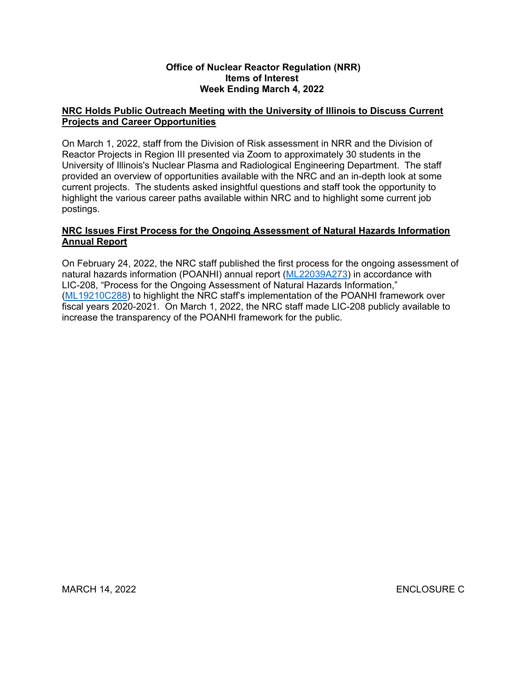#### **Office of Nuclear Reactor Regulation (NRR) Items of Interest Week Ending March 4, 2022**

# **NRC Holds Public Outreach Meeting with the University of Illinois to Discuss Current Projects and Career Opportunities**

On March 1, 2022, staff from the Division of Risk assessment in NRR and the Division of Reactor Projects in Region III presented via Zoom to approximately 30 students in the University of Illinois's Nuclear Plasma and Radiological Engineering Department. The staff provided an overview of opportunities available with the NRC and an in-depth look at some current projects. The students asked insightful questions and staff took the opportunity to highlight the various career paths available within NRC and to highlight some current job postings.

# **NRC Issues First Process for the Ongoing Assessment of Natural Hazards Information Annual Report**

On February 24, 2022, the NRC staff published the first process for the ongoing assessment of natural hazards information (POANHI) annual report [\(ML22039A273](https://adamsxt.nrc.gov/navigator/AdamsXT/content/downloadContent.faces?objectStoreName=MainLibrary&vsId=%7b939A64AD-DF12-C1CD-8E43-7EDB14600000%7d&ForceBrowserDownloadMgrPrompt=false)) in accordance with LIC-208, "Process for the Ongoing Assessment of Natural Hazards Information," ([ML19210C288\)](https://adamsxt.nrc.gov/navigator/AdamsXT/content/downloadContent.faces?objectStoreName=MainLibrary&vsId=%7b29EEE53D-9AE0-C1CC-9C59-6C3E20F00000%7d&ForceBrowserDownloadMgrPrompt=false) to highlight the NRC staff's implementation of the POANHI framework over fiscal years 2020-2021. On March 1, 2022, the NRC staff made LIC-208 publicly available to increase the transparency of the POANHI framework for the public.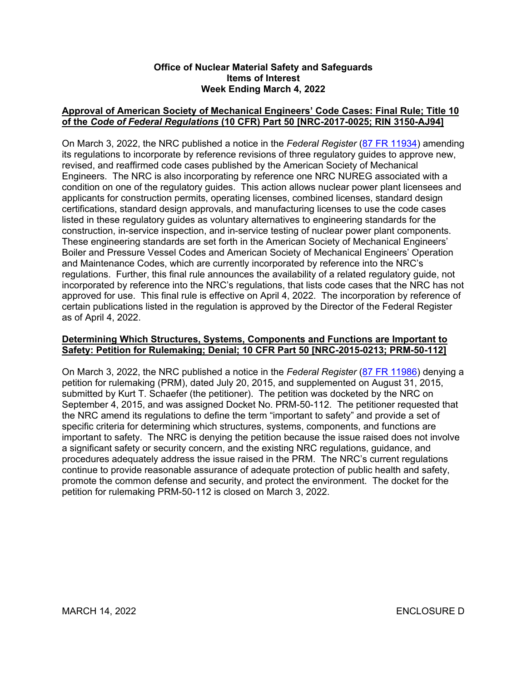#### **Office of Nuclear Material Safety and Safeguards Items of Interest Week Ending March 4, 2022**

# **Approval of American Society of Mechanical Engineers' Code Cases: Final Rule; Title 10 of the** *Code of Federal Regulations* **(10 CFR) Part 50 [NRC-2017-0025; RIN 3150-AJ94]**

On March 3, 2022, the NRC published a notice in the *Federal Register* [\(87 FR 11934\)](https://www.federalregister.gov/d/2022-04374) amending its regulations to incorporate by reference revisions of three regulatory guides to approve new, revised, and reaffirmed code cases published by the American Society of Mechanical Engineers. The NRC is also incorporating by reference one NRC NUREG associated with a condition on one of the regulatory guides. This action allows nuclear power plant licensees and applicants for construction permits, operating licenses, combined licenses, standard design certifications, standard design approvals, and manufacturing licenses to use the code cases listed in these regulatory guides as voluntary alternatives to engineering standards for the construction, in-service inspection, and in-service testing of nuclear power plant components. These engineering standards are set forth in the American Society of Mechanical Engineers' Boiler and Pressure Vessel Codes and American Society of Mechanical Engineers' Operation and Maintenance Codes, which are currently incorporated by reference into the NRC's regulations. Further, this final rule announces the availability of a related regulatory guide, not incorporated by reference into the NRC's regulations, that lists code cases that the NRC has not approved for use. This final rule is effective on April 4, 2022. The incorporation by reference of certain publications listed in the regulation is approved by the Director of the Federal Register as of April 4, 2022.

# **Determining Which Structures, Systems, Components and Functions are Important to Safety: Petition for Rulemaking; Denial; 10 CFR Part 50 [NRC-2015-0213; PRM-50-112]**

On March 3, 2022, the NRC published a notice in the *Federal Register* [\(87 FR 11986\)](https://www.federalregister.gov/d/2022-04052) denying a petition for rulemaking (PRM), dated July 20, 2015, and supplemented on August 31, 2015, submitted by Kurt T. Schaefer (the petitioner). The petition was docketed by the NRC on September 4, 2015, and was assigned Docket No. PRM-50-112. The petitioner requested that the NRC amend its regulations to define the term "important to safety" and provide a set of specific criteria for determining which structures, systems, components, and functions are important to safety. The NRC is denying the petition because the issue raised does not involve a significant safety or security concern, and the existing NRC regulations, guidance, and procedures adequately address the issue raised in the PRM. The NRC's current regulations continue to provide reasonable assurance of adequate protection of public health and safety, promote the common defense and security, and protect the environment. The docket for the petition for rulemaking PRM-50-112 is closed on March 3, 2022.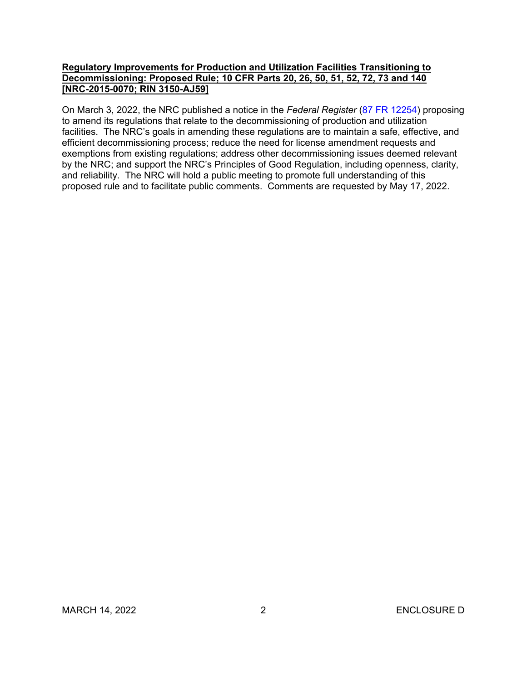## **Regulatory Improvements for Production and Utilization Facilities Transitioning to Decommissioning: Proposed Rule; 10 CFR Parts 20, 26, 50, 51, 52, 72, 73 and 140 [NRC-2015-0070; RIN 3150-AJ59]**

On March 3, 2022, the NRC published a notice in the *Federal Register* [\(87 FR 12254\)](https://www.federalregister.gov/d/2022-03131) proposing to amend its regulations that relate to the decommissioning of production and utilization facilities. The NRC's goals in amending these regulations are to maintain a safe, effective, and efficient decommissioning process; reduce the need for license amendment requests and exemptions from existing regulations; address other decommissioning issues deemed relevant by the NRC; and support the NRC's Principles of Good Regulation, including openness, clarity, and reliability. The NRC will hold a public meeting to promote full understanding of this proposed rule and to facilitate public comments. Comments are requested by May 17, 2022.